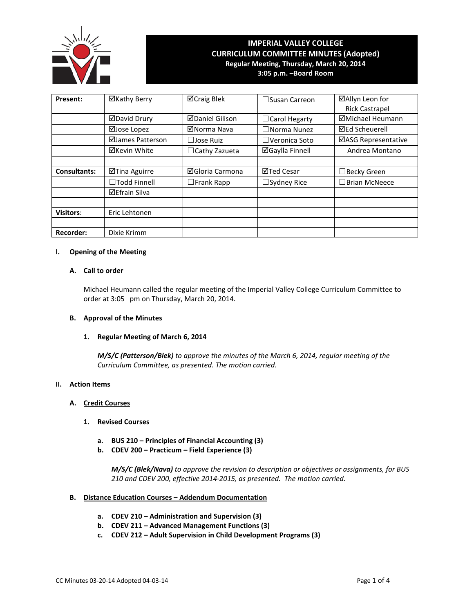

# **IMPERIAL VALLEY COLLEGE CURRICULUM COMMITTEE MINUTES (Adopted) Regular Meeting, Thursday, March 20, 2014**

**3:05 p.m. –Board Room**

| Present:            | ⊠Kathy Berry         | ⊠Craig Blek            | $\Box$ Susan Carreon   | ⊠Allyn Leon for            |
|---------------------|----------------------|------------------------|------------------------|----------------------------|
|                     |                      |                        |                        | <b>Rick Castrapel</b>      |
|                     | ⊠David Drury         | <b>ØDaniel Gilison</b> | $\Box$ Carol Hegarty   | ⊠Michael Heumann           |
|                     | ⊠Jose Lopez          | ⊠Norma Nava            | $\Box$ Norma Nunez     | <b>⊠Ed Scheuerell</b>      |
|                     | ⊠James Patterson     | $\Box$ Jose Ruiz       | $\Box$ Veronica Soto   | <b>⊠ASG Representative</b> |
|                     | ⊠Kevin White         | $\Box$ Cathy Zazueta   | <b>⊠Gaylla Finnell</b> | Andrea Montano             |
|                     |                      |                        |                        |                            |
| <b>Consultants:</b> | ⊠Tina Aguirre        | ⊠Gloria Carmona        | ⊠Ted Cesar             | $\Box$ Becky Green         |
|                     | $\Box$ Todd Finnell  | $\Box$ Frank Rapp      | $\Box$ Sydney Rice     | $\Box$ Brian McNeece       |
|                     | <b>⊠Efrain Silva</b> |                        |                        |                            |
|                     |                      |                        |                        |                            |
| <b>Visitors:</b>    | Eric Lehtonen        |                        |                        |                            |
|                     |                      |                        |                        |                            |
| <b>Recorder:</b>    | Dixie Krimm          |                        |                        |                            |

# **I. Opening of the Meeting**

# **A. Call to order**

Michael Heumann called the regular meeting of the Imperial Valley College Curriculum Committee to order at 3:05 pm on Thursday, March 20, 2014.

#### **B. Approval of the Minutes**

#### **1. Regular Meeting of March 6, 2014**

*M/S/C (Patterson/Blek) to approve the minutes of the March 6, 2014, regular meeting of the Curriculum Committee, as presented. The motion carried.*

#### **II. Action Items**

# **A. Credit Courses**

## **1. Revised Courses**

- **a. BUS 210 – Principles of Financial Accounting (3)**
- **b. CDEV 200 – Practicum – Field Experience (3)**

*M/S/C (Blek/Nava) to approve the revision to description or objectives or assignments, for BUS 210 and CDEV 200, effective 2014-2015, as presented. The motion carried.*

# **B. Distance Education Courses – Addendum Documentation**

- **a. CDEV 210 – Administration and Supervision (3)**
- **b. CDEV 211 – Advanced Management Functions (3)**
- **c. CDEV 212 – Adult Supervision in Child Development Programs (3)**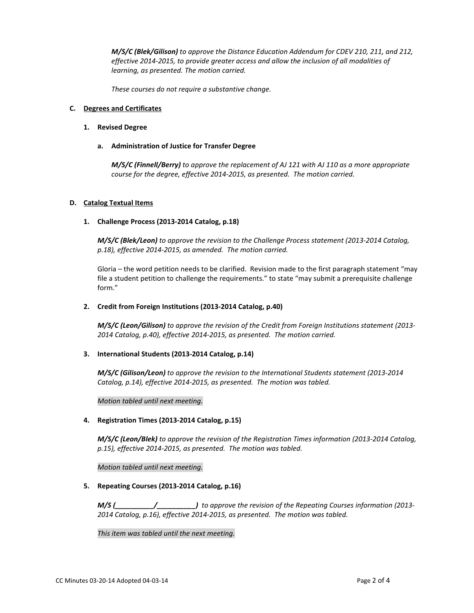*M/S/C (Blek/Gilison) to approve the Distance Education Addendum for CDEV 210, 211, and 212, effective 2014-2015, to provide greater access and allow the inclusion of all modalities of learning, as presented. The motion carried.*

*These courses do not require a substantive change.*

#### **C. Degrees and Certificates**

## **1. Revised Degree**

# **a. Administration of Justice for Transfer Degree**

*M/S/C (Finnell/Berry) to approve the replacement of AJ 121 with AJ 110 as a more appropriate course for the degree, effective 2014-2015, as presented. The motion carried.*

# **D. Catalog Textual Items**

# **1. Challenge Process (2013-2014 Catalog, p.18)**

*M/S/C (Blek/Leon) to approve the revision to the Challenge Process statement (2013-2014 Catalog, p.18), effective 2014-2015, as amended. The motion carried.*

Gloria – the word petition needs to be clarified. Revision made to the first paragraph statement "may file a student petition to challenge the requirements." to state "may submit a prerequisite challenge form."

## **2. Credit from Foreign Institutions (2013-2014 Catalog, p.40)**

*M/S/C (Leon/Gilison) to approve the revision of the Credit from Foreign Institutions statement (2013- 2014 Catalog, p.40), effective 2014-2015, as presented. The motion carried.*

#### **3. International Students (2013-2014 Catalog, p.14)**

*M/S/C (Gilison/Leon) to approve the revision to the International Students statement (2013-2014 Catalog, p.14), effective 2014-2015, as presented. The motion was tabled.*

*Motion tabled until next meeting.*

# **4. Registration Times (2013-2014 Catalog, p.15)**

*M/S/C (Leon/Blek) to approve the revision of the Registration Times information (2013-2014 Catalog, p.15), effective 2014-2015, as presented. The motion was tabled.*

*Motion tabled until next meeting.*

#### **5. Repeating Courses (2013-2014 Catalog, p.16)**

*M/S (\_\_\_\_\_\_\_\_\_\_/\_\_\_\_\_\_\_\_\_\_) to approve the revision of the Repeating Courses information (2013- 2014 Catalog, p.16), effective 2014-2015, as presented. The motion was tabled.*

*This item was tabled until the next meeting.*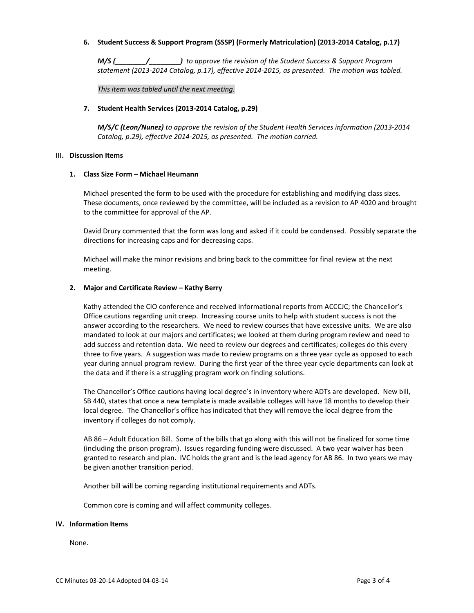# **6. Student Success & Support Program (SSSP) (Formerly Matriculation) (2013-2014 Catalog, p.17)**

*M/S (\_\_\_\_\_\_\_\_/\_\_\_\_\_\_\_\_) to approve the revision of the Student Success & Support Program statement (2013-2014 Catalog, p.17), effective 2014-2015, as presented. The motion was tabled.*

*This item was tabled until the next meeting.*

#### **7. Student Health Services (2013-2014 Catalog, p.29)**

*M/S/C (Leon/Nunez) to approve the revision of the Student Health Services information (2013-2014 Catalog, p.29), effective 2014-2015, as presented. The motion carried.*

#### **III. Discussion Items**

#### **1. Class Size Form – Michael Heumann**

Michael presented the form to be used with the procedure for establishing and modifying class sizes. These documents, once reviewed by the committee, will be included as a revision to AP 4020 and brought to the committee for approval of the AP.

David Drury commented that the form was long and asked if it could be condensed. Possibly separate the directions for increasing caps and for decreasing caps.

Michael will make the minor revisions and bring back to the committee for final review at the next meeting.

#### **2. Major and Certificate Review – Kathy Berry**

Kathy attended the CIO conference and received informational reports from ACCCJC; the Chancellor's Office cautions regarding unit creep. Increasing course units to help with student success is not the answer according to the researchers. We need to review courses that have excessive units. We are also mandated to look at our majors and certificates; we looked at them during program review and need to add success and retention data. We need to review our degrees and certificates; colleges do this every three to five years. A suggestion was made to review programs on a three year cycle as opposed to each year during annual program review. During the first year of the three year cycle departments can look at the data and if there is a struggling program work on finding solutions.

The Chancellor's Office cautions having local degree's in inventory where ADTs are developed. New bill, SB 440, states that once a new template is made available colleges will have 18 months to develop their local degree. The Chancellor's office has indicated that they will remove the local degree from the inventory if colleges do not comply.

AB 86 – Adult Education Bill. Some of the bills that go along with this will not be finalized for some time (including the prison program). Issues regarding funding were discussed. A two year waiver has been granted to research and plan. IVC holds the grant and is the lead agency for AB 86. In two years we may be given another transition period.

Another bill will be coming regarding institutional requirements and ADTs.

Common core is coming and will affect community colleges.

#### **IV. Information Items**

None.